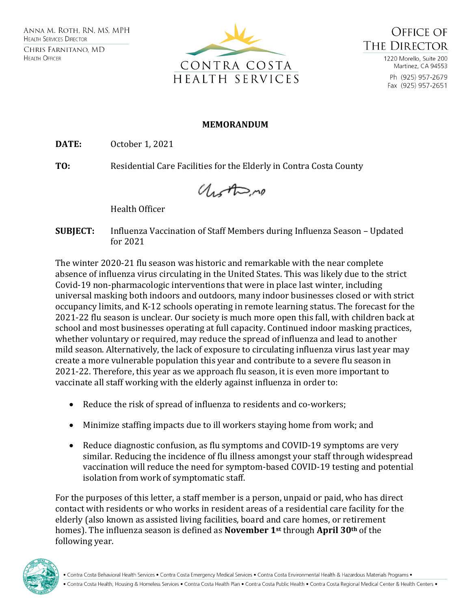



1220 Morello, Suite 200 Martinez, CA 94553 Ph (925) 957-2679 Fax (925) 957-2651

## **MEMORANDUM**

**DATE:** October 1, 2021

**TO:** Residential Care Facilities for the Elderly in Contra Costa County

Unother no

Health Officer

**SUBJECT:** Influenza Vaccination of Staff Members during Influenza Season – Updated for 2021

The winter 2020-21 flu season was historic and remarkable with the near complete absence of influenza virus circulating in the United States. This was likely due to the strict Covid-19 non-pharmacologic interventions that were in place last winter, including universal masking both indoors and outdoors, many indoor businesses closed or with strict occupancy limits, and K-12 schools operating in remote learning status. The forecast for the 2021-22 flu season is unclear. Our society is much more open this fall, with children back at school and most businesses operating at full capacity. Continued indoor masking practices, whether voluntary or required, may reduce the spread of influenza and lead to another mild season. Alternatively, the lack of exposure to circulating influenza virus last year may create a more vulnerable population this year and contribute to a severe flu season in 2021-22. Therefore, this year as we approach flu season, it is even more important to vaccinate all staff working with the elderly against influenza in order to:

- Reduce the risk of spread of influenza to residents and co-workers;
- Minimize staffing impacts due to ill workers staying home from work; and
- Reduce diagnostic confusion, as flu symptoms and COVID-19 symptoms are very similar. Reducing the incidence of flu illness amongst your staff through widespread vaccination will reduce the need for symptom-based COVID-19 testing and potential isolation from work of symptomatic staff.

For the purposes of this letter, a staff member is a person, unpaid or paid, who has direct contact with residents or who works in resident areas of a residential care facility for the elderly (also known as assisted living facilities, board and care homes, or retirement homes). The influenza season is defined as **November 1st** through **April 30th** of the following year.

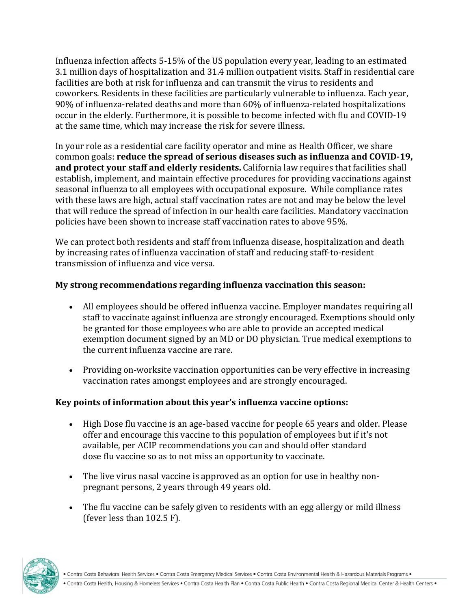Influenza infection affects 5-15% of the US population every year, leading to an estimated 3.1 million days of hospitalization and 31.4 million outpatient visits. Staff in residential care facilities are both at risk for influenza and can transmit the virus to residents and coworkers. Residents in these facilities are particularly vulnerable to influenza. Each year, 90% of influenza-related deaths and more than 60% of influenza-related hospitalizations occur in the elderly. Furthermore, it is possible to become infected with flu and COVID-19 at the same time, which may increase the risk for severe illness.

In your role as a residential care facility operator and mine as Health Officer, we share common goals: **reduce the spread of serious diseases such as influenza and COVID-19, and protect your staff and elderly residents.** California law requires that facilities shall establish, implement, and maintain effective procedures for providing vaccinations against seasonal influenza to all employees with occupational exposure. While compliance rates with these laws are high, actual staff vaccination rates are not and may be below the level that will reduce the spread of infection in our health care facilities. Mandatory vaccination policies have been shown to increase staff vaccination rates to above 95%.

We can protect both residents and staff from influenza disease, hospitalization and death by increasing rates of influenza vaccination of staff and reducing staff-to-resident transmission of influenza and vice versa.

## **My strong recommendations regarding influenza vaccination this season:**

- All employees should be offered influenza vaccine. Employer mandates requiring all staff to vaccinate against influenza are strongly encouraged. Exemptions should only be granted for those employees who are able to provide an accepted medical exemption document signed by an MD or DO physician. True medical exemptions to the current influenza vaccine are rare.
- Providing on-worksite vaccination opportunities can be very effective in increasing vaccination rates amongst employees and are strongly encouraged.

## **Key points of information about this year's influenza vaccine options:**

- High Dose flu vaccine is an age-based vaccine for people 65 years and older. Please offer and encourage this vaccine to this population of employees but if it's not available, per ACIP recommendations you can and should offer standard dose flu vaccine so as to not miss an opportunity to vaccinate.
- The live virus nasal vaccine is approved as an option for use in healthy nonpregnant persons, 2 years through 49 years old.
- The flu vaccine can be safely given to residents with an egg allergy or mild illness (fever less than 102.5 F).



. Contra Costa Behavioral Health Services . Contra Costa Emergency Medical Services . Contra Costa Environmental Health & Hazardous Materials Programs .